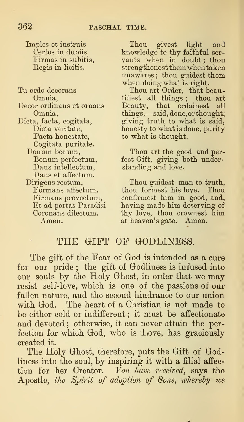Imples et instruis Certos in dubiis Firmas in subitis, Eegis in licitis.

Tu ordo decorans Omnia, Decor ordinans et ornans Omnia, Dicta, facta, cogitata, Dicta veritate, Facta honestate, Cogitata puritate. Donum bonum, Bonum perfectum, Dans intellectum, Dans et affectum. Dirigens rectum, Formans affectum. Firmans provectum, Et ad portas Paradisi Coronans dilectum. Amen.

Thou givest light and knowledge to thy faithful ser vants when in doubt; thou strengthenest them when taken unawares ; thou guidest them when doing what is right.

Thou art Order, that beautifiest all things ; thou art Beauty, that ordainest all things, —said, done, or thought; giving truth to what is said, honesty to what isdone, purity to what is thought.

Thou art the good and perfect Gift, giving both understanding and love.

Thou guidest man to truth, thou formest his love. Thou confirmest him in good, and, having made him deserving of thy love, thou crownest him at heaven's gate. Amen.

## THE GIFT OF GODLINESS.

The gift of the Fear of God is intended as a cure for our pride; the gift of Godliness is infused into our souls by the Holy Ghost, in order that we may resist self-love, which is one of the passions of our fallen nature, and the second hindrance to our union with God. The heart of a Christian is not made to be either cold or indifferent ; it must be affectionate and devoted ; otherwise, it can never attain the perfection for which God, who is Love, has graciously created it.

The Holy Ghost, therefore, puts the Gift of Godliness into the soul, by inspiring it with a filial affection for her Creator.  $\overline{Y}_{0}u$  have received, says the Apostle, the Spirit of adoption of Sons, ivhereby we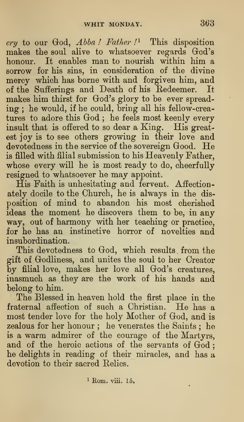cry to our God, Abba! Father!<sup>1</sup> This disposition makes the soul alive to whatsoever regards God's honour. It enables man to nourish within him a sorrow for his sins, in consideration of the divine mercy which has borne with and forgiven him, and of the Sufferings and Death of his Redeemer. It makes him thirst for God's glory to be ever spreading ; he would, if he could, bring all his fellow-creatures to adore this God; he feels most keenly every insult that is offered to so dear a King. His greatest joy is to see others growing in their love and devotedness in the service of the sovereign Good. He is filled with filial submission to his Heavenly Father, whose every will he is most ready to do, cheerfully resigned to whatsoever he may appoint.

His Faith is unhesitating and fervent. Affectionately docile to the Church, he is always in the disposition of mind to abandon his most cherished ideas the moment he discovers them to be, in any way, out of harmony with her teaching or practice, for he has an instinctive horror of novelties and insubordination.

This devotedness to God, which results from the gift of Grodliness, and unites the soul to her Creator by filial love, makes her love all God's creatures, inasmuch as they are the work of his hands and belong to him.

The Blessed in heaven hold the first place in the fraternal affection of such <sup>a</sup> Christian. He has <sup>a</sup> most tender love for the holy Mother of God, and is zealous for her honour ; he venerates the Saints ; he is a warm admirer of the courage of the Martyrs, and of the heroic actions of the servants of God; he delights in reading of their miracles, and has a devotion to their sacred Relics.